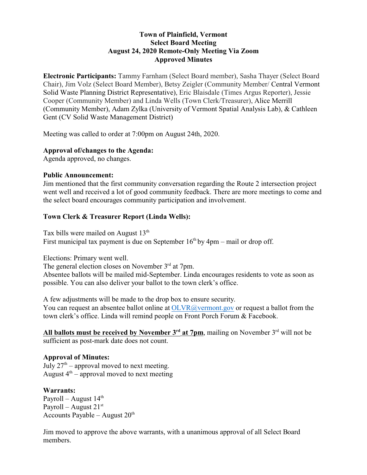## **Town of Plainfield, Vermont Select Board Meeting August 24, 2020 Remote-Only Meeting Via Zoom Approved Minutes**

**Electronic Participants:** Tammy Farnham (Select Board member), Sasha Thayer (Select Board Chair), Jim Volz (Select Board Member), Betsy Zeigler (Community Member/ Central Vermont Solid Waste Planning District Representative), Eric Blaisdale (Times Argus Reporter), Jessie Cooper (Community Member) and Linda Wells (Town Clerk/Treasurer), Alice Merrill (Community Member), Adam Zylka (University of Vermont Spatial Analysis Lab), & Cathleen Gent (CV Solid Waste Management District)

Meeting was called to order at 7:00pm on August 24th, 2020.

### **Approval of/changes to the Agenda:**

Agenda approved, no changes.

#### **Public Announcement:**

Jim mentioned that the first community conversation regarding the Route 2 intersection project went well and received a lot of good community feedback. There are more meetings to come and the select board encourages community participation and involvement.

### **Town Clerk & Treasurer Report (Linda Wells):**

Tax bills were mailed on August 13<sup>th</sup> First municipal tax payment is due on September  $16<sup>th</sup>$  by  $4pm$  – mail or drop off.

Elections: Primary went well.

The general election closes on November 3<sup>rd</sup> at 7pm.

Absentee ballots will be mailed mid-September. Linda encourages residents to vote as soon as possible. You can also deliver your ballot to the town clerk's office.

A few adjustments will be made to the drop box to ensure security. You can request an absentee ballot online at [OLVR@vermont.gov](mailto:OLVR@vermont.gov) or request a ballot from the town clerk's office. Linda will remind people on Front Porch Forum & Facebook.

**All ballots must be received by November 3rd at 7pm**, mailing on November 3rd will not be sufficient as post-mark date does not count.

### **Approval of Minutes:**

July  $27<sup>th</sup>$  – approval moved to next meeting. August  $4<sup>th</sup>$  – approval moved to next meeting

#### **Warrants:**

Payroll – August 14<sup>th</sup> Payroll – August 21st Accounts Payable – August  $20<sup>th</sup>$ 

Jim moved to approve the above warrants, with a unanimous approval of all Select Board members.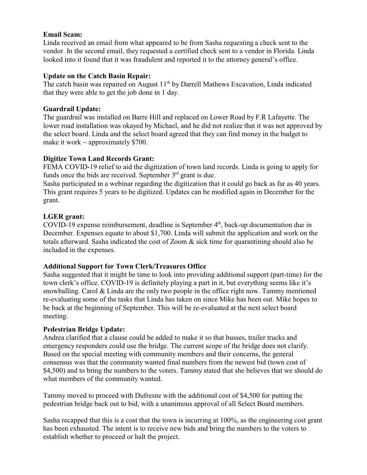## **Email Scam:**

Linda received an email from what appeared to be from Sasha requesting a check sent to the vendor. In the second email, they requested a certified check sent to a vendor in Florida. Linda looked into it found that it was fraudulent and reported it to the attorney general's office.

## **Update on the Catch Basin Repair:**

The catch basin was repaired on August 11<sup>th</sup> by Darrell Mathews Excavation, Linda indicated that they were able to get the job done in 1 day.

## **Guardrail Update:**

The guardrail was installed on Barre Hill and replaced on Lower Road by F.R Lafayette. The lower road installation was okayed by Michael, and he did not realize that it was not approved by the select board. Linda and the select board agreed that they can find money in the budget to make it work  $\sim$  approximately \$700.

## **Digitize Town Land Records Grant:**

FEMA COVID-19 relief to aid the digitization of town land records. Linda is going to apply for funds once the bids are received. September  $3<sup>rd</sup>$  grant is due.

Sasha participated in a webinar regarding the digitization that it could go back as far as 40 years. This grant requires 5 years to be digitized. Updates can be modified again in December for the grant.

# **LGER grant:**

COVID-19 expense reimbursement, deadline is September 4<sup>th</sup>, back-up documentation due in December. Expenses equate to about \$1,700. Linda will submit the application and work on the totals afterward. Sasha indicated the cost of Zoom & sick time for quarantining should also be included in the expenses.

# **Additional Support for Town Clerk/Treasures Office**

Sasha suggested that it might be time to look into providing additional support (part-time) for the town clerk's office. COVID-19 is definitely playing a part in it, but everything seems like it's snowballing. Carol & Linda are the only two people in the office right now. Tammy mentioned re-evaluating some of the tasks that Linda has taken on since Mike has been out. Mike hopes to be back at the beginning of September. This will be re-evaluated at the next select board meeting.

# **Pedestrian Bridge Update:**

Andrea clarified that a clause could be added to make it so that busses, trailer trucks and emergency responders could use the bridge. The current scope of the bridge does not clarify. Based on the special meeting with community members and their concerns, the general consensus was that the community wanted final numbers from the newest bid (town cost of \$4,500) and to bring the numbers to the voters. Tammy stated that she believes that we should do what members of the community wanted.

Tammy moved to proceed with Dufresne with the additional cost of \$4,500 for putting the pedestrian bridge back out to bid, with a unanimous approval of all Select Board members.

Sasha recapped that this is a cost that the town is incurring at 100%, as the engineering cost grant has been exhausted. The intent is to receive new bids and bring the numbers to the voters to establish whether to proceed or halt the project.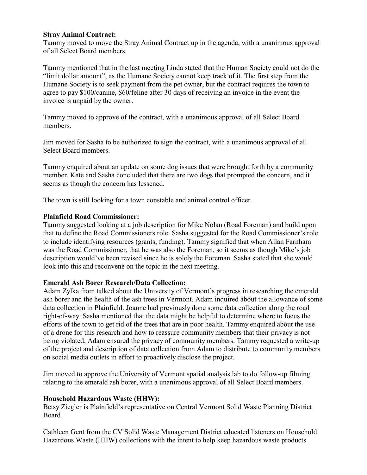### **Stray Animal Contract:**

Tammy moved to move the Stray Animal Contract up in the agenda, with a unanimous approval of all Select Board members.

Tammy mentioned that in the last meeting Linda stated that the Human Society could not do the "limit dollar amount", as the Humane Society cannot keep track of it. The first step from the Humane Society is to seek payment from the pet owner, but the contract requires the town to agree to pay \$100/canine, \$60/feline after 30 days of receiving an invoice in the event the invoice is unpaid by the owner.

Tammy moved to approve of the contract, with a unanimous approval of all Select Board members.

Jim moved for Sasha to be authorized to sign the contract, with a unanimous approval of all Select Board members.

Tammy enquired about an update on some dog issues that were brought forth by a community member. Kate and Sasha concluded that there are two dogs that prompted the concern, and it seems as though the concern has lessened.

The town is still looking for a town constable and animal control officer.

#### **Plainfield Road Commissioner:**

Tammy suggested looking at a job description for Mike Nolan (Road Foreman) and build upon that to define the Road Commissioners role. Sasha suggested for the Road Commissioner's role to include identifying resources (grants, funding). Tammy signified that when Allan Farnham was the Road Commissioner, that he was also the Foreman, so it seems as though Mike's job description would've been revised since he is solely the Foreman. Sasha stated that she would look into this and reconvene on the topic in the next meeting.

### **Emerald Ash Borer Research/Data Collection:**

Adam Zylka from talked about the University of Vermont's progress in researching the emerald ash borer and the health of the ash trees in Vermont. Adam inquired about the allowance of some data collection in Plainfield. Joanne had previously done some data collection along the road right-of-way. Sasha mentioned that the data might be helpful to determine where to focus the efforts of the town to get rid of the trees that are in poor health. Tammy enquired about the use of a drone for this research and how to reassure community members that their privacy is not being violated, Adam ensured the privacy of community members. Tammy requested a write-up of the project and description of data collection from Adam to distribute to community members on social media outlets in effort to proactively disclose the project.

Jim moved to approve the University of Vermont spatial analysis lab to do follow-up filming relating to the emerald ash borer, with a unanimous approval of all Select Board members.

### **Household Hazardous Waste (HHW):**

Betsy Ziegler is Plainfield's representative on Central Vermont Solid Waste Planning District Board.

Cathleen Gent from the CV Solid Waste Management District educated listeners on Household Hazardous Waste (HHW) collections with the intent to help keep hazardous waste products